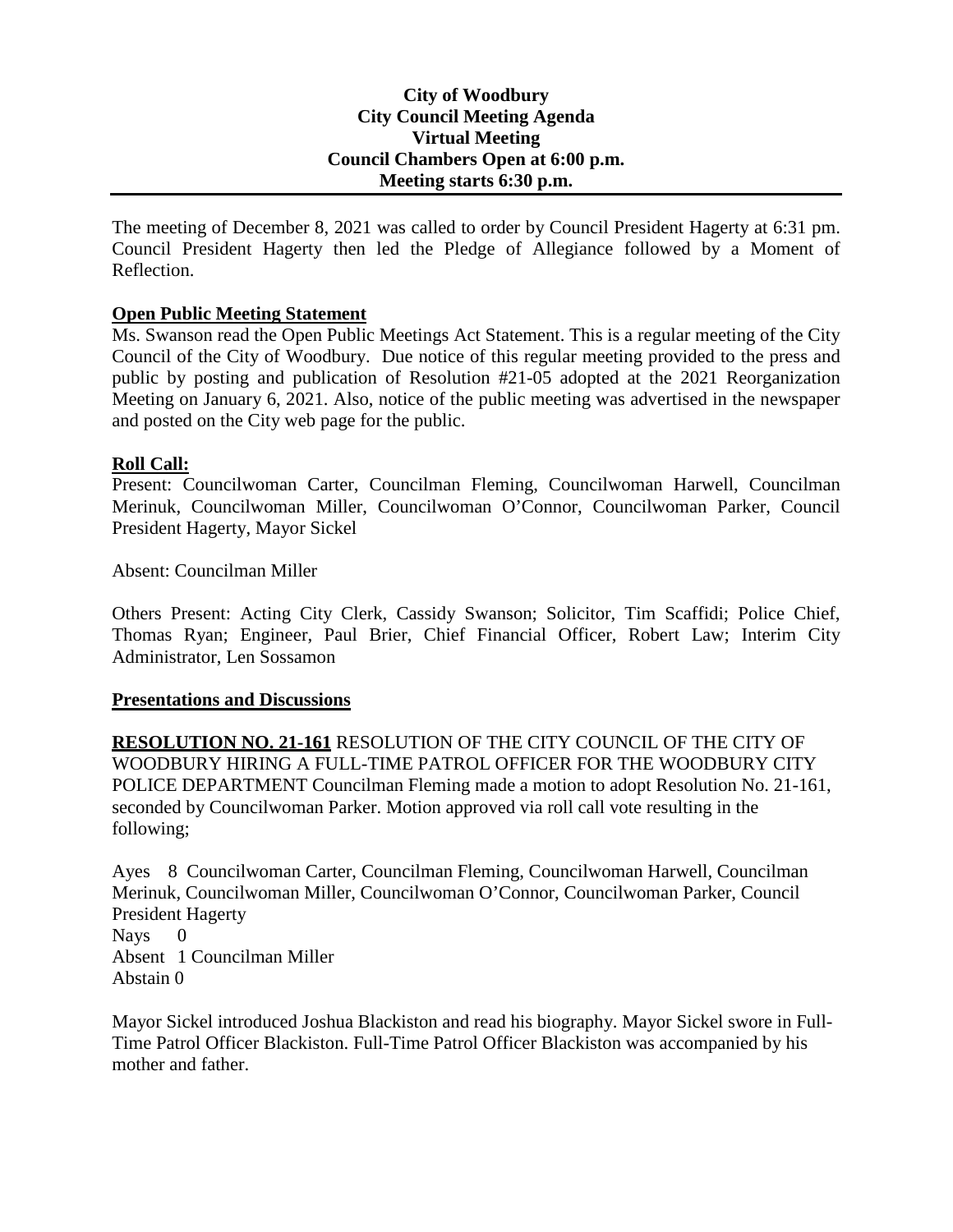## **City of Woodbury City Council Meeting Agenda Virtual Meeting Council Chambers Open at 6:00 p.m. Meeting starts 6:30 p.m.**

The meeting of December 8, 2021 was called to order by Council President Hagerty at 6:31 pm. Council President Hagerty then led the Pledge of Allegiance followed by a Moment of Reflection.

## **Open Public Meeting Statement**

Ms. Swanson read the Open Public Meetings Act Statement. This is a regular meeting of the City Council of the City of Woodbury. Due notice of this regular meeting provided to the press and public by posting and publication of Resolution #21-05 adopted at the 2021 Reorganization Meeting on January 6, 2021. Also, notice of the public meeting was advertised in the newspaper and posted on the City web page for the public.

#### **Roll Call:**

Present: Councilwoman Carter, Councilman Fleming, Councilwoman Harwell, Councilman Merinuk, Councilwoman Miller, Councilwoman O'Connor, Councilwoman Parker, Council President Hagerty, Mayor Sickel

Absent: Councilman Miller

Others Present: Acting City Clerk, Cassidy Swanson; Solicitor, Tim Scaffidi; Police Chief, Thomas Ryan; Engineer, Paul Brier, Chief Financial Officer, Robert Law; Interim City Administrator, Len Sossamon

#### **Presentations and Discussions**

**RESOLUTION NO. 21-161** RESOLUTION OF THE CITY COUNCIL OF THE CITY OF WOODBURY HIRING A FULL-TIME PATROL OFFICER FOR THE WOODBURY CITY POLICE DEPARTMENT Councilman Fleming made a motion to adopt Resolution No. 21-161, seconded by Councilwoman Parker. Motion approved via roll call vote resulting in the following;

Ayes 8 Councilwoman Carter, Councilman Fleming, Councilwoman Harwell, Councilman Merinuk, Councilwoman Miller, Councilwoman O'Connor, Councilwoman Parker, Council President Hagerty Nays 0 Absent 1 Councilman Miller Abstain 0

Mayor Sickel introduced Joshua Blackiston and read his biography. Mayor Sickel swore in Full-Time Patrol Officer Blackiston. Full-Time Patrol Officer Blackiston was accompanied by his mother and father.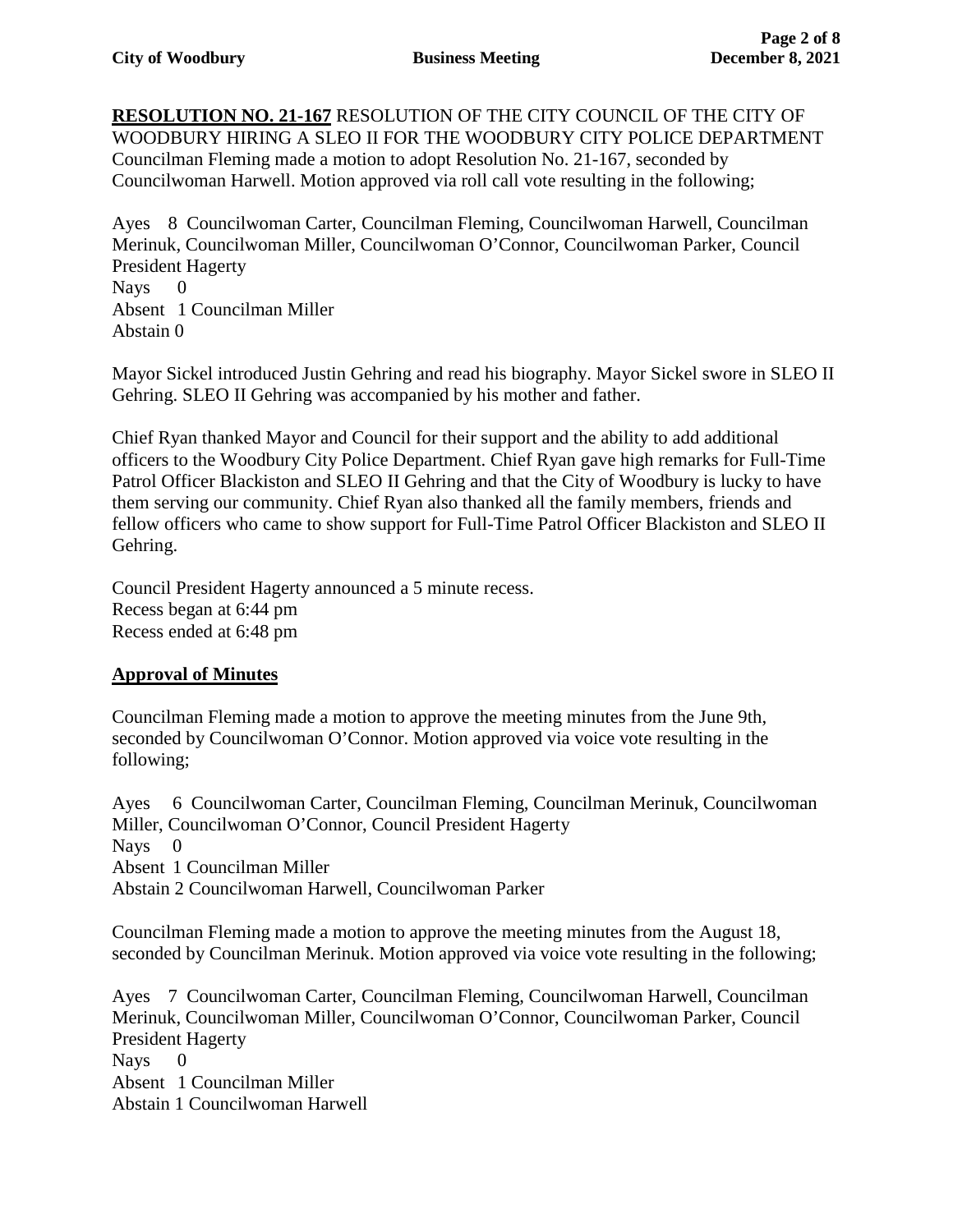**RESOLUTION NO. 21-167** RESOLUTION OF THE CITY COUNCIL OF THE CITY OF WOODBURY HIRING A SLEO II FOR THE WOODBURY CITY POLICE DEPARTMENT Councilman Fleming made a motion to adopt Resolution No. 21-167, seconded by Councilwoman Harwell. Motion approved via roll call vote resulting in the following;

Ayes 8 Councilwoman Carter, Councilman Fleming, Councilwoman Harwell, Councilman Merinuk, Councilwoman Miller, Councilwoman O'Connor, Councilwoman Parker, Council President Hagerty Nays 0 Absent 1 Councilman Miller

Abstain 0

Mayor Sickel introduced Justin Gehring and read his biography. Mayor Sickel swore in SLEO II Gehring. SLEO II Gehring was accompanied by his mother and father.

Chief Ryan thanked Mayor and Council for their support and the ability to add additional officers to the Woodbury City Police Department. Chief Ryan gave high remarks for Full-Time Patrol Officer Blackiston and SLEO II Gehring and that the City of Woodbury is lucky to have them serving our community. Chief Ryan also thanked all the family members, friends and fellow officers who came to show support for Full-Time Patrol Officer Blackiston and SLEO II Gehring.

Council President Hagerty announced a 5 minute recess. Recess began at 6:44 pm Recess ended at 6:48 pm

## **Approval of Minutes**

Councilman Fleming made a motion to approve the meeting minutes from the June 9th, seconded by Councilwoman O'Connor. Motion approved via voice vote resulting in the following;

Ayes 6 Councilwoman Carter, Councilman Fleming, Councilman Merinuk, Councilwoman Miller, Councilwoman O'Connor, Council President Hagerty Nays 0 Absent 1 Councilman Miller Abstain 2 Councilwoman Harwell, Councilwoman Parker

Councilman Fleming made a motion to approve the meeting minutes from the August 18, seconded by Councilman Merinuk. Motion approved via voice vote resulting in the following;

Ayes 7 Councilwoman Carter, Councilman Fleming, Councilwoman Harwell, Councilman Merinuk, Councilwoman Miller, Councilwoman O'Connor, Councilwoman Parker, Council President Hagerty Nays 0 Absent 1 Councilman Miller Abstain 1 Councilwoman Harwell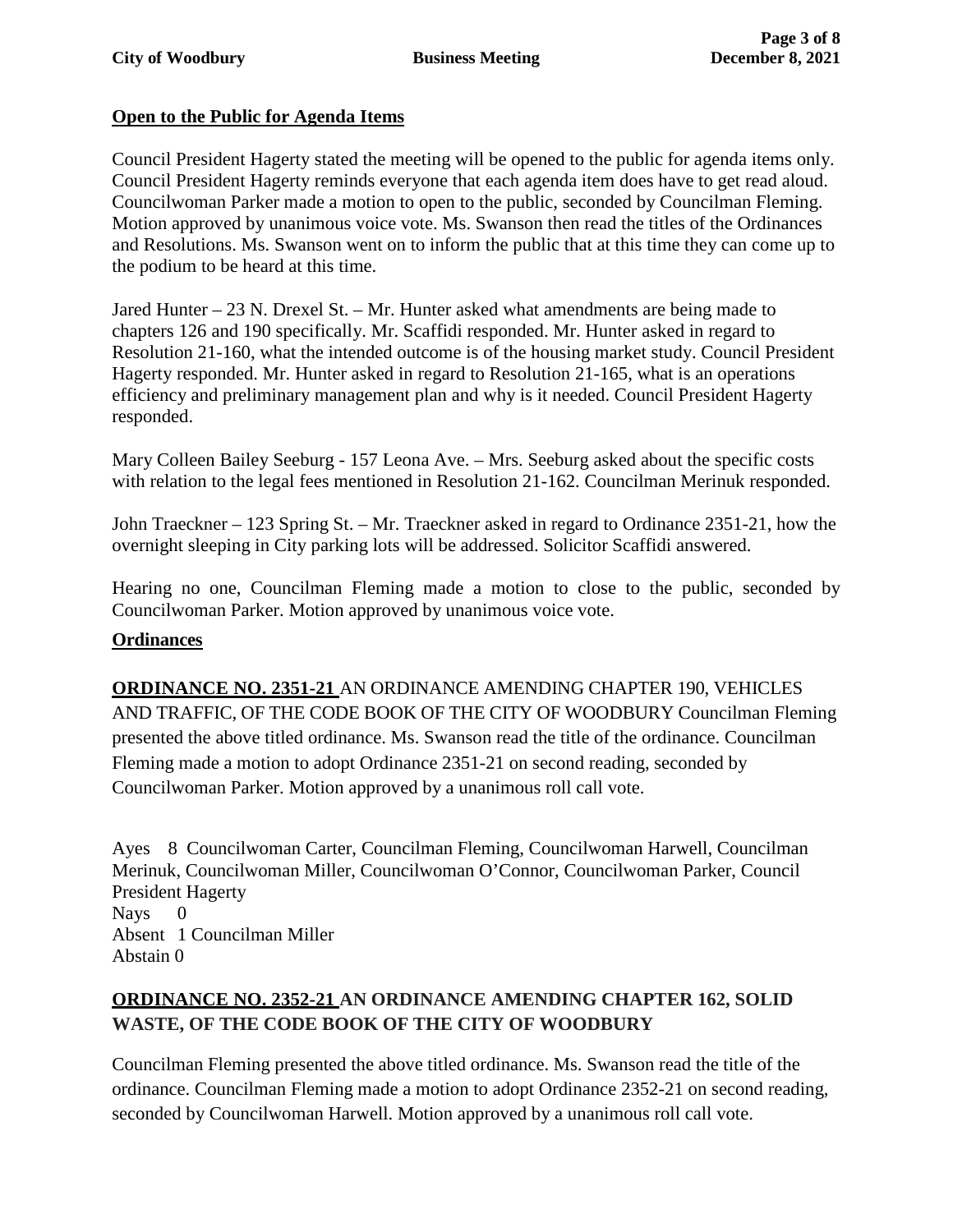## **Open to the Public for Agenda Items**

Council President Hagerty stated the meeting will be opened to the public for agenda items only. Council President Hagerty reminds everyone that each agenda item does have to get read aloud. Councilwoman Parker made a motion to open to the public, seconded by Councilman Fleming. Motion approved by unanimous voice vote. Ms. Swanson then read the titles of the Ordinances and Resolutions. Ms. Swanson went on to inform the public that at this time they can come up to the podium to be heard at this time.

Jared Hunter – 23 N. Drexel St. – Mr. Hunter asked what amendments are being made to chapters 126 and 190 specifically. Mr. Scaffidi responded. Mr. Hunter asked in regard to Resolution 21-160, what the intended outcome is of the housing market study. Council President Hagerty responded. Mr. Hunter asked in regard to Resolution 21-165, what is an operations efficiency and preliminary management plan and why is it needed. Council President Hagerty responded.

Mary Colleen Bailey Seeburg - 157 Leona Ave. – Mrs. Seeburg asked about the specific costs with relation to the legal fees mentioned in Resolution 21-162. Councilman Merinuk responded.

John Traeckner – 123 Spring St. – Mr. Traeckner asked in regard to Ordinance 2351-21, how the overnight sleeping in City parking lots will be addressed. Solicitor Scaffidi answered.

Hearing no one, Councilman Fleming made a motion to close to the public, seconded by Councilwoman Parker. Motion approved by unanimous voice vote.

## **Ordinances**

**ORDINANCE NO. 2351-21** AN ORDINANCE AMENDING CHAPTER 190, VEHICLES AND TRAFFIC, OF THE CODE BOOK OF THE CITY OF WOODBURY Councilman Fleming presented the above titled ordinance. Ms. Swanson read the title of the ordinance. Councilman Fleming made a motion to adopt Ordinance 2351-21 on second reading, seconded by Councilwoman Parker. Motion approved by a unanimous roll call vote.

Ayes 8 Councilwoman Carter, Councilman Fleming, Councilwoman Harwell, Councilman Merinuk, Councilwoman Miller, Councilwoman O'Connor, Councilwoman Parker, Council President Hagerty Nays 0 Absent 1 Councilman Miller Abstain 0

## **ORDINANCE NO. 2352-21 AN ORDINANCE AMENDING CHAPTER 162, SOLID WASTE, OF THE CODE BOOK OF THE CITY OF WOODBURY**

Councilman Fleming presented the above titled ordinance. Ms. Swanson read the title of the ordinance. Councilman Fleming made a motion to adopt Ordinance 2352-21 on second reading, seconded by Councilwoman Harwell. Motion approved by a unanimous roll call vote.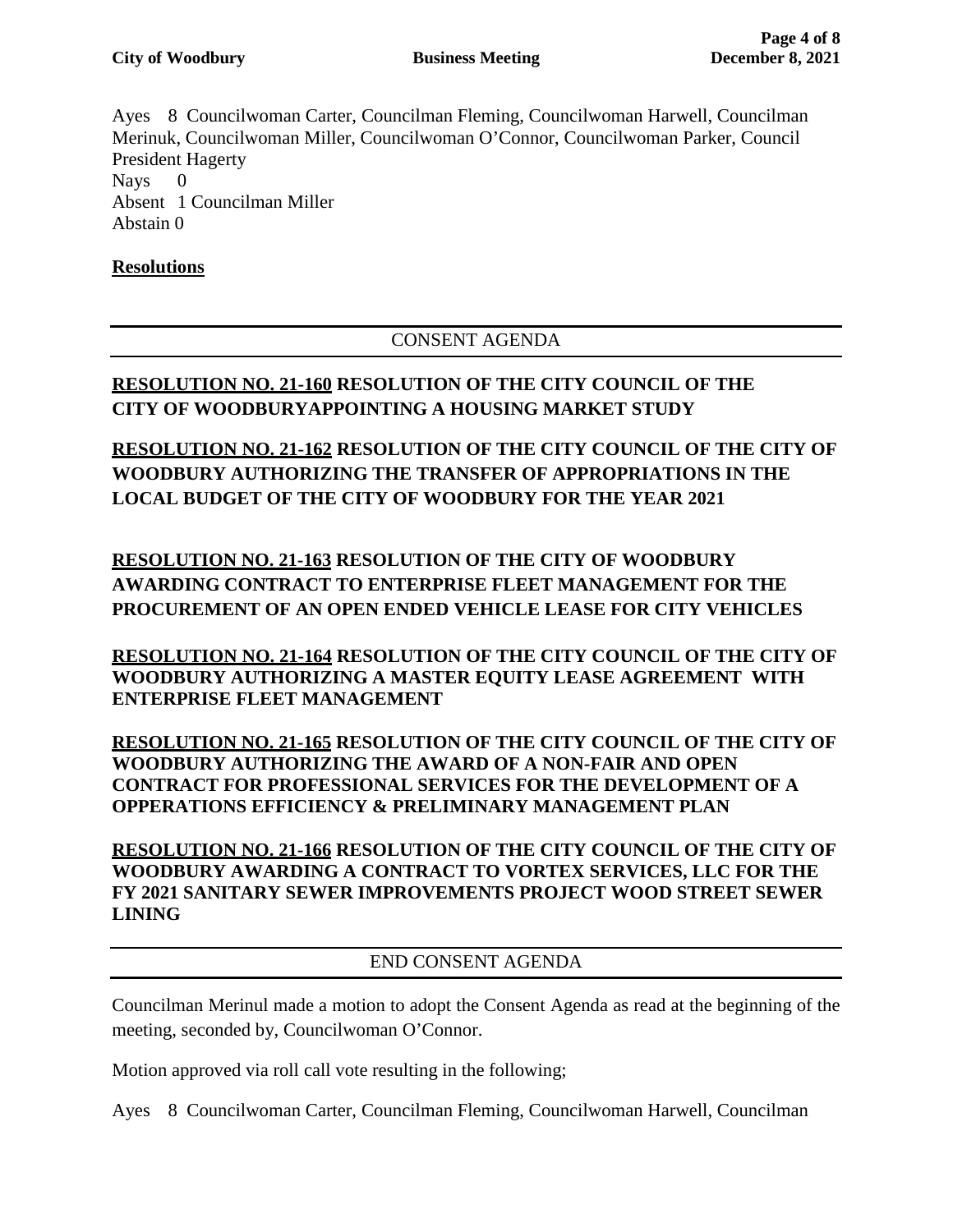Ayes 8 Councilwoman Carter, Councilman Fleming, Councilwoman Harwell, Councilman Merinuk, Councilwoman Miller, Councilwoman O'Connor, Councilwoman Parker, Council President Hagerty Nays 0 Absent 1 Councilman Miller Abstain 0

## **Resolutions**

## CONSENT AGENDA

## **RESOLUTION NO. 21-160 RESOLUTION OF THE CITY COUNCIL OF THE CITY OF WOODBURYAPPOINTING A HOUSING MARKET STUDY**

# **RESOLUTION NO. 21-162 RESOLUTION OF THE CITY COUNCIL OF THE CITY OF WOODBURY AUTHORIZING THE TRANSFER OF APPROPRIATIONS IN THE LOCAL BUDGET OF THE CITY OF WOODBURY FOR THE YEAR 2021**

**RESOLUTION NO. 21-163 RESOLUTION OF THE CITY OF WOODBURY AWARDING CONTRACT TO ENTERPRISE FLEET MANAGEMENT FOR THE PROCUREMENT OF AN OPEN ENDED VEHICLE LEASE FOR CITY VEHICLES**

**RESOLUTION NO. 21-164 RESOLUTION OF THE CITY COUNCIL OF THE CITY OF WOODBURY AUTHORIZING A MASTER EQUITY LEASE AGREEMENT WITH ENTERPRISE FLEET MANAGEMENT** 

**RESOLUTION NO. 21-165 RESOLUTION OF THE CITY COUNCIL OF THE CITY OF WOODBURY AUTHORIZING THE AWARD OF A NON-FAIR AND OPEN CONTRACT FOR PROFESSIONAL SERVICES FOR THE DEVELOPMENT OF A OPPERATIONS EFFICIENCY & PRELIMINARY MANAGEMENT PLAN**

**RESOLUTION NO. 21-166 RESOLUTION OF THE CITY COUNCIL OF THE CITY OF WOODBURY AWARDING A CONTRACT TO VORTEX SERVICES, LLC FOR THE FY 2021 SANITARY SEWER IMPROVEMENTS PROJECT WOOD STREET SEWER LINING**

END CONSENT AGENDA

Councilman Merinul made a motion to adopt the Consent Agenda as read at the beginning of the meeting, seconded by, Councilwoman O'Connor.

Motion approved via roll call vote resulting in the following;

Ayes 8 Councilwoman Carter, Councilman Fleming, Councilwoman Harwell, Councilman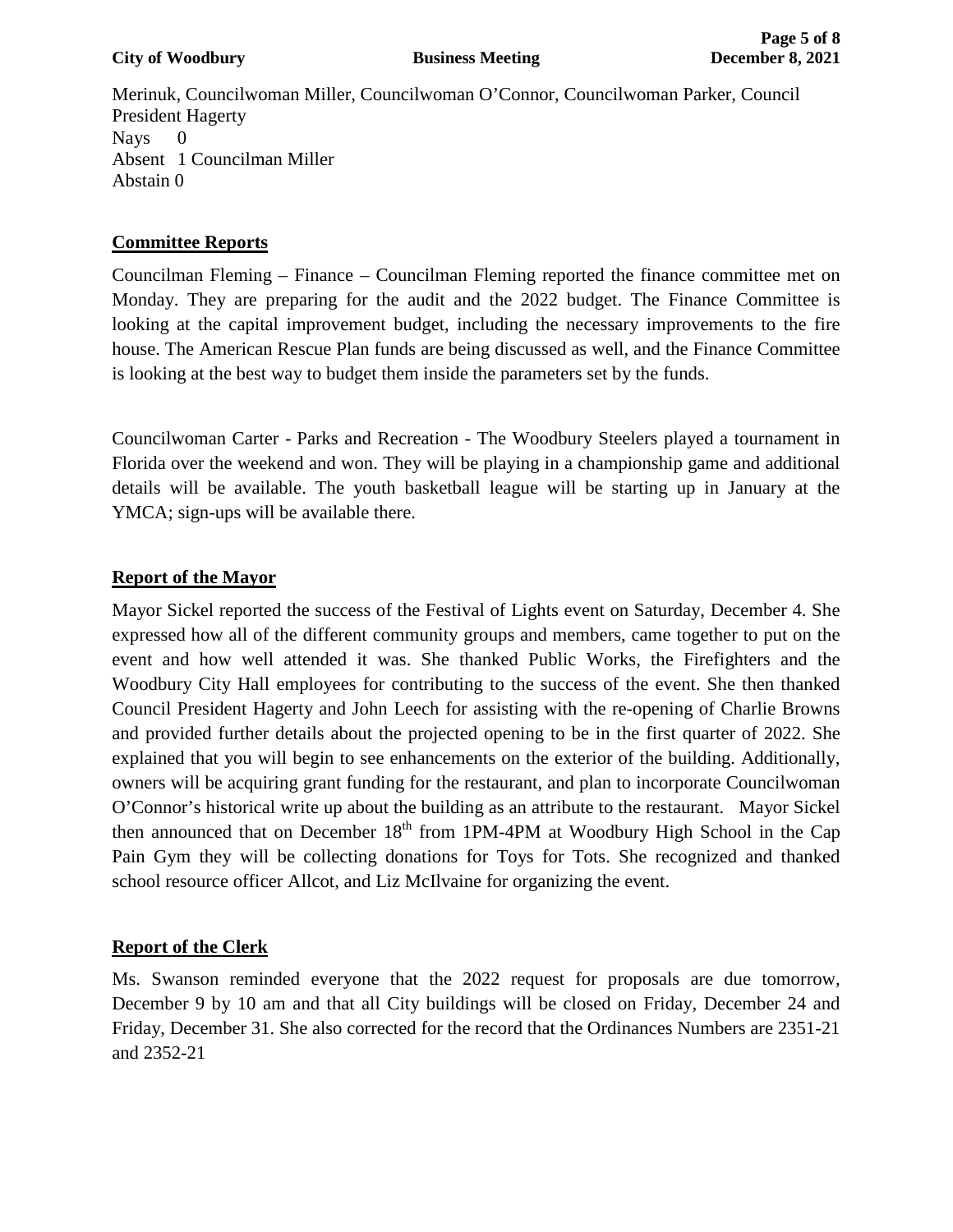Merinuk, Councilwoman Miller, Councilwoman O'Connor, Councilwoman Parker, Council President Hagerty Nays 0 Absent 1 Councilman Miller Abstain 0

## **Committee Reports**

Councilman Fleming – Finance – Councilman Fleming reported the finance committee met on Monday. They are preparing for the audit and the 2022 budget. The Finance Committee is looking at the capital improvement budget, including the necessary improvements to the fire house. The American Rescue Plan funds are being discussed as well, and the Finance Committee is looking at the best way to budget them inside the parameters set by the funds.

Councilwoman Carter - Parks and Recreation - The Woodbury Steelers played a tournament in Florida over the weekend and won. They will be playing in a championship game and additional details will be available. The youth basketball league will be starting up in January at the YMCA; sign-ups will be available there.

## **Report of the Mayor**

Mayor Sickel reported the success of the Festival of Lights event on Saturday, December 4. She expressed how all of the different community groups and members, came together to put on the event and how well attended it was. She thanked Public Works, the Firefighters and the Woodbury City Hall employees for contributing to the success of the event. She then thanked Council President Hagerty and John Leech for assisting with the re-opening of Charlie Browns and provided further details about the projected opening to be in the first quarter of 2022. She explained that you will begin to see enhancements on the exterior of the building. Additionally, owners will be acquiring grant funding for the restaurant, and plan to incorporate Councilwoman O'Connor's historical write up about the building as an attribute to the restaurant. Mayor Sickel then announced that on December  $18<sup>th</sup>$  from 1PM-4PM at Woodbury High School in the Cap Pain Gym they will be collecting donations for Toys for Tots. She recognized and thanked school resource officer Allcot, and Liz McIlvaine for organizing the event.

## **Report of the Clerk**

Ms. Swanson reminded everyone that the 2022 request for proposals are due tomorrow, December 9 by 10 am and that all City buildings will be closed on Friday, December 24 and Friday, December 31. She also corrected for the record that the Ordinances Numbers are 2351-21 and 2352-21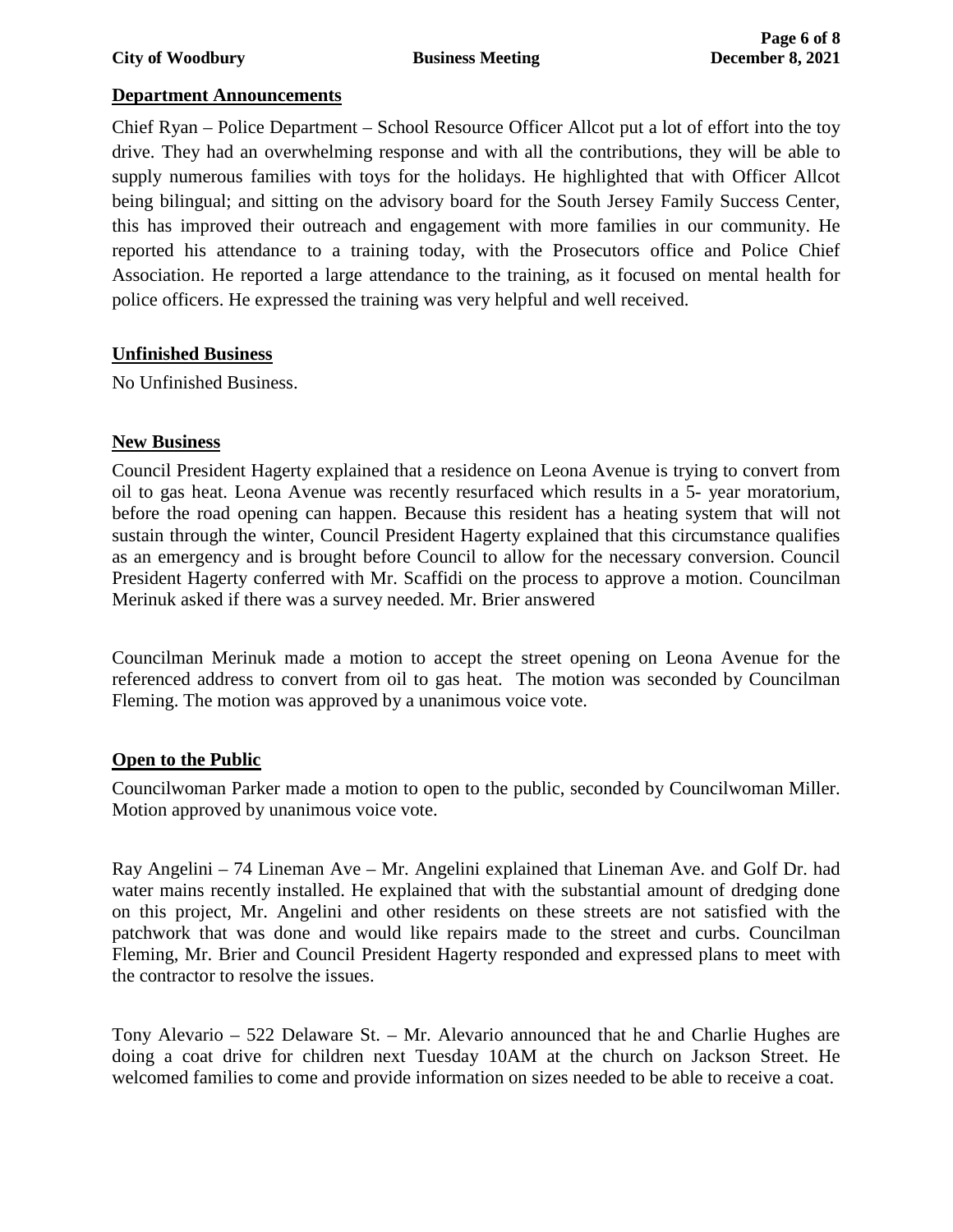#### **City of Woodbury Business Meeting December 8, 2021**

#### **Department Announcements**

Chief Ryan – Police Department – School Resource Officer Allcot put a lot of effort into the toy drive. They had an overwhelming response and with all the contributions, they will be able to supply numerous families with toys for the holidays. He highlighted that with Officer Allcot being bilingual; and sitting on the advisory board for the South Jersey Family Success Center, this has improved their outreach and engagement with more families in our community. He reported his attendance to a training today, with the Prosecutors office and Police Chief Association. He reported a large attendance to the training, as it focused on mental health for police officers. He expressed the training was very helpful and well received.

## **Unfinished Business**

No Unfinished Business.

#### **New Business**

Council President Hagerty explained that a residence on Leona Avenue is trying to convert from oil to gas heat. Leona Avenue was recently resurfaced which results in a 5- year moratorium, before the road opening can happen. Because this resident has a heating system that will not sustain through the winter, Council President Hagerty explained that this circumstance qualifies as an emergency and is brought before Council to allow for the necessary conversion. Council President Hagerty conferred with Mr. Scaffidi on the process to approve a motion. Councilman Merinuk asked if there was a survey needed. Mr. Brier answered

Councilman Merinuk made a motion to accept the street opening on Leona Avenue for the referenced address to convert from oil to gas heat. The motion was seconded by Councilman Fleming. The motion was approved by a unanimous voice vote.

#### **Open to the Public**

Councilwoman Parker made a motion to open to the public, seconded by Councilwoman Miller. Motion approved by unanimous voice vote.

Ray Angelini – 74 Lineman Ave – Mr. Angelini explained that Lineman Ave. and Golf Dr. had water mains recently installed. He explained that with the substantial amount of dredging done on this project, Mr. Angelini and other residents on these streets are not satisfied with the patchwork that was done and would like repairs made to the street and curbs. Councilman Fleming, Mr. Brier and Council President Hagerty responded and expressed plans to meet with the contractor to resolve the issues.

Tony Alevario – 522 Delaware St. – Mr. Alevario announced that he and Charlie Hughes are doing a coat drive for children next Tuesday 10AM at the church on Jackson Street. He welcomed families to come and provide information on sizes needed to be able to receive a coat.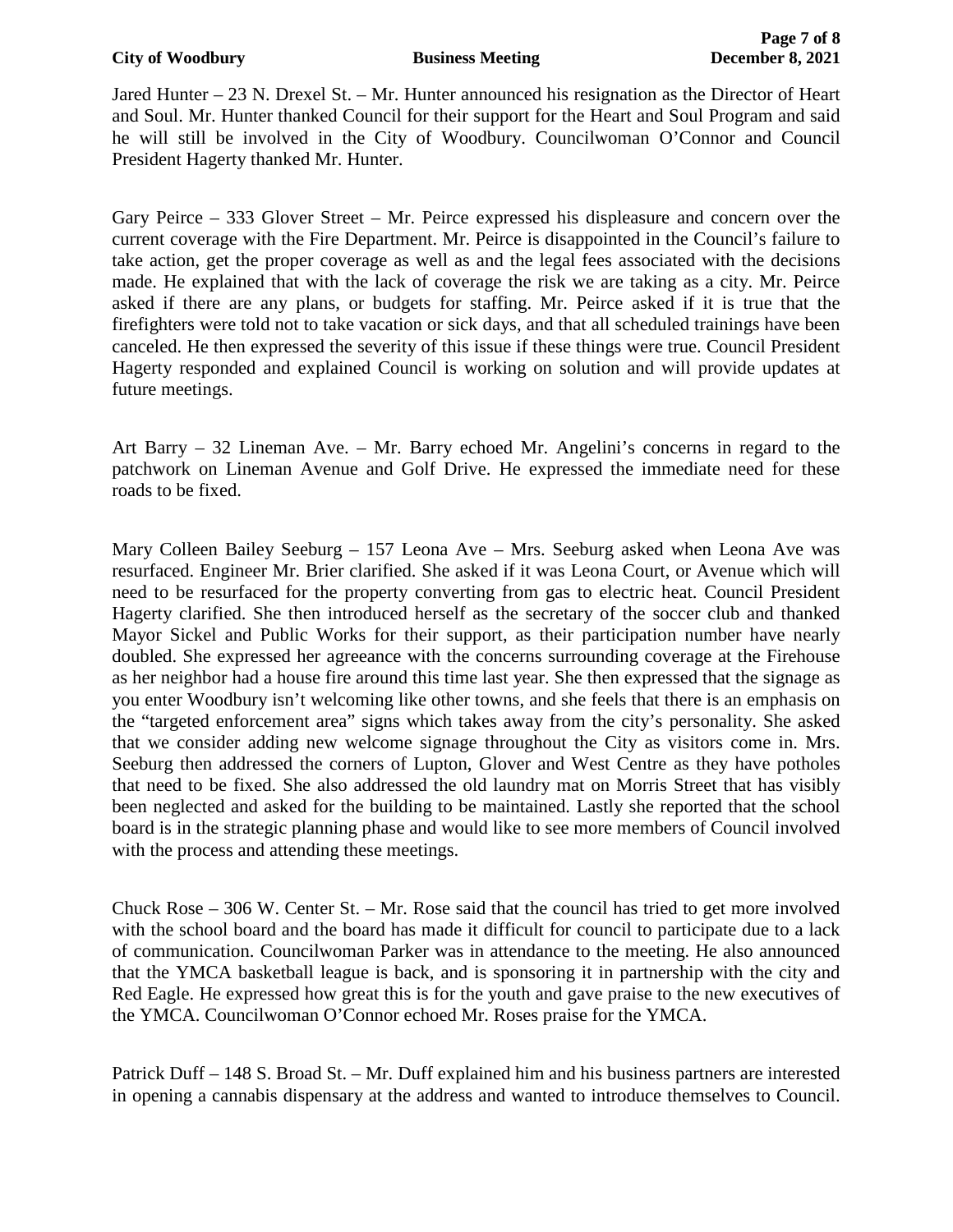Jared Hunter – 23 N. Drexel St. – Mr. Hunter announced his resignation as the Director of Heart and Soul. Mr. Hunter thanked Council for their support for the Heart and Soul Program and said he will still be involved in the City of Woodbury. Councilwoman O'Connor and Council President Hagerty thanked Mr. Hunter.

Gary Peirce – 333 Glover Street – Mr. Peirce expressed his displeasure and concern over the current coverage with the Fire Department. Mr. Peirce is disappointed in the Council's failure to take action, get the proper coverage as well as and the legal fees associated with the decisions made. He explained that with the lack of coverage the risk we are taking as a city. Mr. Peirce asked if there are any plans, or budgets for staffing. Mr. Peirce asked if it is true that the firefighters were told not to take vacation or sick days, and that all scheduled trainings have been canceled. He then expressed the severity of this issue if these things were true. Council President Hagerty responded and explained Council is working on solution and will provide updates at future meetings.

Art Barry – 32 Lineman Ave. – Mr. Barry echoed Mr. Angelini's concerns in regard to the patchwork on Lineman Avenue and Golf Drive. He expressed the immediate need for these roads to be fixed.

Mary Colleen Bailey Seeburg – 157 Leona Ave – Mrs. Seeburg asked when Leona Ave was resurfaced. Engineer Mr. Brier clarified. She asked if it was Leona Court, or Avenue which will need to be resurfaced for the property converting from gas to electric heat. Council President Hagerty clarified. She then introduced herself as the secretary of the soccer club and thanked Mayor Sickel and Public Works for their support, as their participation number have nearly doubled. She expressed her agreeance with the concerns surrounding coverage at the Firehouse as her neighbor had a house fire around this time last year. She then expressed that the signage as you enter Woodbury isn't welcoming like other towns, and she feels that there is an emphasis on the "targeted enforcement area" signs which takes away from the city's personality. She asked that we consider adding new welcome signage throughout the City as visitors come in. Mrs. Seeburg then addressed the corners of Lupton, Glover and West Centre as they have potholes that need to be fixed. She also addressed the old laundry mat on Morris Street that has visibly been neglected and asked for the building to be maintained. Lastly she reported that the school board is in the strategic planning phase and would like to see more members of Council involved with the process and attending these meetings.

Chuck Rose  $-306$  W. Center St.  $-$  Mr. Rose said that the council has tried to get more involved with the school board and the board has made it difficult for council to participate due to a lack of communication. Councilwoman Parker was in attendance to the meeting. He also announced that the YMCA basketball league is back, and is sponsoring it in partnership with the city and Red Eagle. He expressed how great this is for the youth and gave praise to the new executives of the YMCA. Councilwoman O'Connor echoed Mr. Roses praise for the YMCA.

Patrick Duff – 148 S. Broad St. – Mr. Duff explained him and his business partners are interested in opening a cannabis dispensary at the address and wanted to introduce themselves to Council.